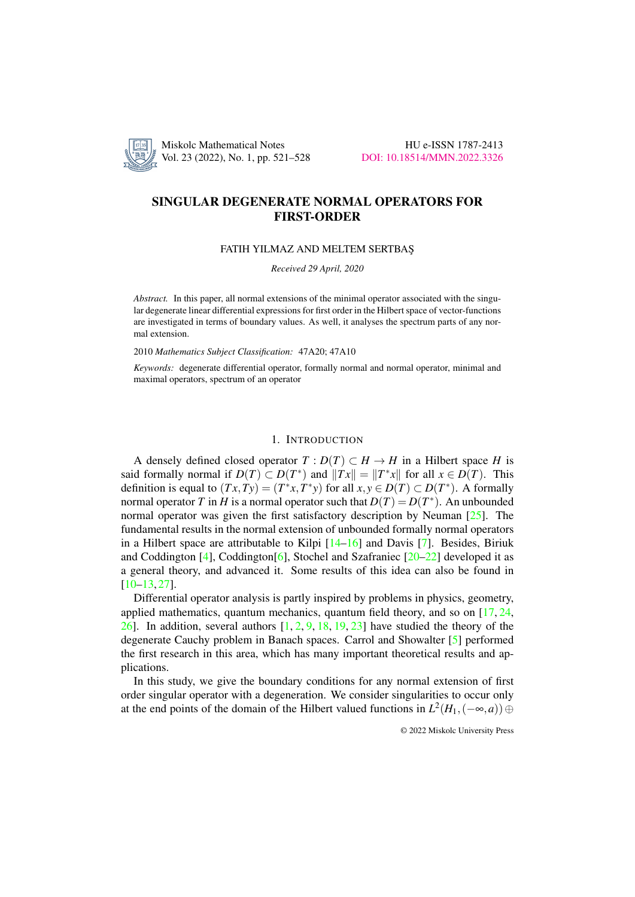

Vol. 23 (2022), No. 1, pp. 521–528 [DOI: 10.18514/MMN.2022.3326](http://dx.doi.org/10.18514/MMN.2022.3326)

# SINGULAR DEGENERATE NORMAL OPERATORS FOR FIRST-ORDER

# FATIH YILMAZ AND MELTEM SERTBAS¸

*Received 29 April, 2020*

*Abstract.* In this paper, all normal extensions of the minimal operator associated with the singular degenerate linear differential expressions for first order in the Hilbert space of vector-functions are investigated in terms of boundary values. As well, it analyses the spectrum parts of any normal extension.

2010 *Mathematics Subject Classification:* 47A20; 47A10

*Keywords:* degenerate differential operator, formally normal and normal operator, minimal and maximal operators, spectrum of an operator

# 1. INTRODUCTION

A densely defined closed operator  $T: D(T) \subset H \to H$  in a Hilbert space *H* is said formally normal if  $D(T) \subset D(T^*)$  and  $||Tx|| = ||T^*x||$  for all  $x \in D(T)$ . This definition is equal to  $(Tx, Ty) = (T^*x, T^*y)$  for all  $x, y \in D(T) \subset D(T^*)$ . A formally normal operator *T* in *H* is a normal operator such that  $D(T) = D(T^*)$ . An unbounded normal operator was given the first satisfactory description by Neuman  $[25]$ . The fundamental results in the normal extension of unbounded formally normal operators in a Hilbert space are attributable to Kilpi  $[14–16]$  $[14–16]$  and Davis [\[7\]](#page-6-2). Besides, Biriuk and Coddington [\[4\]](#page-6-3), Coddington[\[6\]](#page-6-4), Stochel and Szafraniec [\[20](#page-7-1)[–22\]](#page-7-2) developed it as a general theory, and advanced it. Some results of this idea can also be found in [\[10](#page-6-5)[–13,](#page-6-6) [27\]](#page-7-3).

Differential operator analysis is partly inspired by problems in physics, geometry, applied mathematics, quantum mechanics, quantum field theory, and so on  $[17, 24, 16]$  $[17, 24, 16]$  $[17, 24, 16]$  $[17, 24, 16]$ [26\]](#page-7-5). In addition, several authors  $[1, 2, 9, 18, 19, 23]$  $[1, 2, 9, 18, 19, 23]$  $[1, 2, 9, 18, 19, 23]$  $[1, 2, 9, 18, 19, 23]$  $[1, 2, 9, 18, 19, 23]$  $[1, 2, 9, 18, 19, 23]$  $[1, 2, 9, 18, 19, 23]$  $[1, 2, 9, 18, 19, 23]$  $[1, 2, 9, 18, 19, 23]$  $[1, 2, 9, 18, 19, 23]$  $[1, 2, 9, 18, 19, 23]$  have studied the theory of the degenerate Cauchy problem in Banach spaces. Carrol and Showalter [\[5\]](#page-6-11) performed the first research in this area, which has many important theoretical results and applications.

In this study, we give the boundary conditions for any normal extension of first order singular operator with a degeneration. We consider singularities to occur only at the end points of the domain of the Hilbert valued functions in  $L^2(H_1,(-\infty,a)) \oplus$ 

© 2022 Miskolc University Press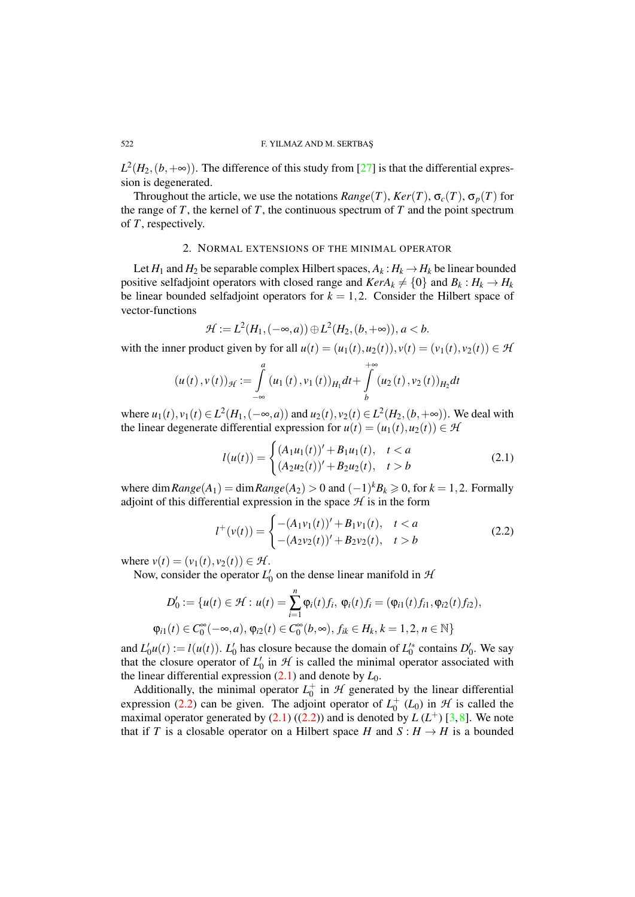## 522 F. YILMAZ AND M. SERTBAS¸

 $L^2(H_2,(b,+\infty))$ . The difference of this study from [\[27\]](#page-7-3) is that the differential expression is degenerated.

Throughout the article, we use the notations  $Range(T)$ ,  $Ker(T)$ ,  $\sigma_c(T)$ ,  $\sigma_p(T)$  for the range of  $T$ , the kernel of  $T$ , the continuous spectrum of  $T$  and the point spectrum of *T*, respectively.

## 2. NORMAL EXTENSIONS OF THE MINIMAL OPERATOR

Let  $H_1$  and  $H_2$  be separable complex Hilbert spaces,  $A_k: H_k \to H_k$  be linear bounded positive selfadjoint operators with closed range and  $KerA_k \neq \{0\}$  and  $B_k : H_k \to H_k$ be linear bounded selfadjoint operators for  $k = 1, 2$ . Consider the Hilbert space of vector-functions

$$
\mathcal{H} := L^2(H_1, (-\infty, a)) \oplus L^2(H_2, (b, +\infty)), a < b.
$$

with the inner product given by for all  $u(t) = (u_1(t), u_2(t)), v(t) = (v_1(t), v_2(t)) \in \mathcal{H}$ 

$$
(u(t),v(t))_{\mathcal{H}} := \int_{-\infty}^{a} (u_1(t),v_1(t))_{H_1} dt + \int_{b}^{+\infty} (u_2(t),v_2(t))_{H_2} dt
$$

where  $u_1(t)$ ,  $v_1(t) \in L^2(H_1, (-\infty, a))$  and  $u_2(t)$ ,  $v_2(t) \in L^2(H_2, (b, +\infty))$ . We deal with the linear degenerate differential expression for  $u(t) = (u_1(t), u_2(t)) \in \mathcal{H}$ 

<span id="page-1-0"></span>
$$
l(u(t)) = \begin{cases} (A_1u_1(t))' + B_1u_1(t), & t < a \\ (A_2u_2(t))' + B_2u_2(t), & t > b \end{cases}
$$
 (2.1)

where  $\dim Range(A_1) = \dim Range(A_2) > 0$  and  $(-1)^k B_k \geq 0$ , for  $k = 1, 2$ . Formally adjoint of this differential expression in the space  $H$  is in the form

<span id="page-1-1"></span>
$$
l^+(v(t)) = \begin{cases} -(A_1v_1(t))' + B_1v_1(t), & t < a \\ -(A_2v_2(t))' + B_2v_2(t), & t > b \end{cases}
$$
 (2.2)

where  $v(t) = (v_1(t), v_2(t)) \in \mathcal{H}$ .

Now, consider the operator  $L'_0$  on the dense linear manifold in  $\mathcal{H}_1$ 

$$
D'_0 := \{u(t) \in \mathcal{H} : u(t) = \sum_{i=1}^n \varphi_i(t) f_i, \, \varphi_i(t) f_i = (\varphi_{i1}(t) f_{i1}, \varphi_{i2}(t) f_{i2}),
$$
  

$$
\varphi_{i1}(t) \in C_0^{\infty}(-\infty, a), \, \varphi_{i2}(t) \in C_0^{\infty}(b, \infty), \, f_{ik} \in H_k, \, k = 1, 2, n \in \mathbb{N}\}
$$

and  $L'_0u(t) := l(u(t))$ .  $L'_0$  has closure because the domain of  $L'^*_0$  contains  $D'_0$ . We say that the closure operator of  $L_0$  in  $H$  is called the minimal operator associated with the linear differential expression  $(2.1)$  and denote by  $L_0$ .

Additionally, the minimal operator  $L_0^+$  in  $\mathcal H$  generated by the linear differential expression [\(2.2\)](#page-1-1) can be given. The adjoint operator of  $L_0^+(L_0)$  in  $H$  is called the maximal operator generated by  $(2.1)$   $((2.2))$  $((2.2))$  $((2.2))$  and is denoted by  $L(L^+)$  [\[3,](#page-6-12)[8\]](#page-6-13). We note that if *T* is a closable operator on a Hilbert space *H* and  $S : H \to H$  is a bounded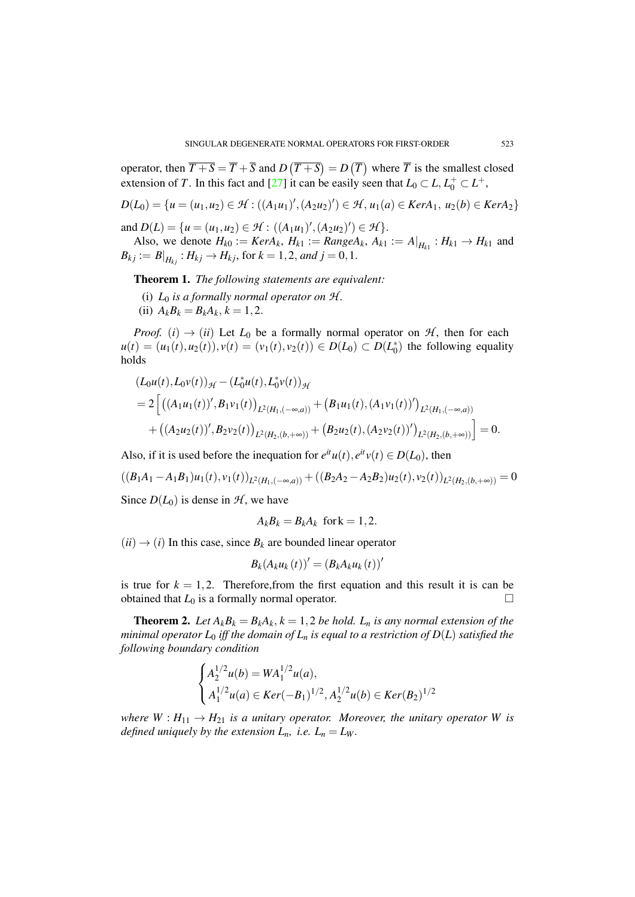operator, then  $\overline{T+S} = \overline{T} + \overline{S}$  and  $D(\overline{T+S}) = D(\overline{T})$  where  $\overline{T}$  is the smallest closed extension of *T*. In this fact and [\[27\]](#page-7-3) it can be easily seen that  $L_0 \subset L$ ,  $L_0^+ \subset L^+$ ,

$$
D(L_0) = \{u = (u_1, u_2) \in \mathcal{H} : ((A_1u_1)', (A_2u_2)') \in \mathcal{H}, u_1(a) \in Ker A_1, u_2(b) \in Ker A_2\}
$$

and  $D(L) = \{u = (u_1, u_2) \in \mathcal{H} : ((A_1u_1)', (A_2u_2)') \in \mathcal{H}\}.$ 

Also, we denote  $H_{k0} := Ker A_k$ ,  $H_{k1} := Range A_k$ ,  $A_{k1} := A|_{H_{k1}} : H_{k1} \to H_{k1}$  and  $B_{kj} := B|_{H_{kj}}$ :  $H_{kj} \to H_{kj}$ , for  $k = 1, 2$ , and  $j = 0, 1$ .

<span id="page-2-0"></span>Theorem 1. *The following statements are equivalent:*

- (i)  $L_0$  *is a formally normal operator on*  $H$ *.*
- (ii)  $A_k B_k = B_k A_k, k = 1, 2.$

*Proof.* (*i*)  $\rightarrow$  (*ii*) Let *L*<sub>0</sub> be a formally normal operator on *H*, then for each  $u(t) = (u_1(t), u_2(t)), v(t) = (v_1(t), v_2(t)) \in D(L_0) \subset D(L_0^*)$  the following equality holds

$$
(L_0u(t), L_0v(t))_{\mathcal{H}} - (L_0^*u(t), L_0^*v(t))_{\mathcal{H}}
$$
  
=  $2\left[ ((A_1u_1(t))', B_1v_1(t))_{L^2(H_1, (-\infty, a))} + (B_1u_1(t), (A_1v_1(t))')_{L^2(H_1, (-\infty, a))}\right. + ((A_2u_2(t))', B_2v_2(t))_{L^2(H_2, (b, +\infty))} + (B_2u_2(t), (A_2v_2(t))')_{L^2(H_2, (b, +\infty))} \right] = 0.$ 

Also, if it is used before the inequation for  $e^{it}u(t)$ ,  $e^{it}v(t) \in D(L_0)$ , then

$$
((B_1A_1 - A_1B_1)u_1(t), v_1(t))_{L^2(H_1, (-\infty, a))} + ((B_2A_2 - A_2B_2)u_2(t), v_2(t))_{L^2(H_2, (b, +\infty))} = 0
$$

Since  $D(L_0)$  is dense in  $H$ , we have

$$
A_k B_k = B_k A_k \text{ for } k = 1, 2.
$$

 $(ii) \rightarrow (i)$  In this case, since  $B_k$  are bounded linear operator

$$
B_k(A_k u_k(t))' = (B_k A_k u_k(t))'
$$

is true for  $k = 1, 2$ . Therefore, from the first equation and this result it is can be obtained that  $L_0$  is a formally normal operator.

**Theorem 2.** Let  $A_k B_k = B_k A_k$ ,  $k = 1, 2$  be hold.  $L_n$  is any normal extension of the *minimal operator*  $L_0$  *iff the domain of*  $L_n$  *is equal to a restriction of*  $D(L)$  *satisfied the following boundary condition*

$$
\begin{cases} A_2^{1/2}u(b) = WA_1^{1/2}u(a), \\ A_1^{1/2}u(a) \in Ker(-B_1)^{1/2}, A_2^{1/2}u(b) \in Ker(B_2)^{1/2} \end{cases}
$$

*where*  $W: H_{11} \rightarrow H_{21}$  *is a unitary operator. Moreover, the unitary operator W is defined uniquely by the extension*  $L_n$ *, i.e.*  $L_n = L_W$ *.*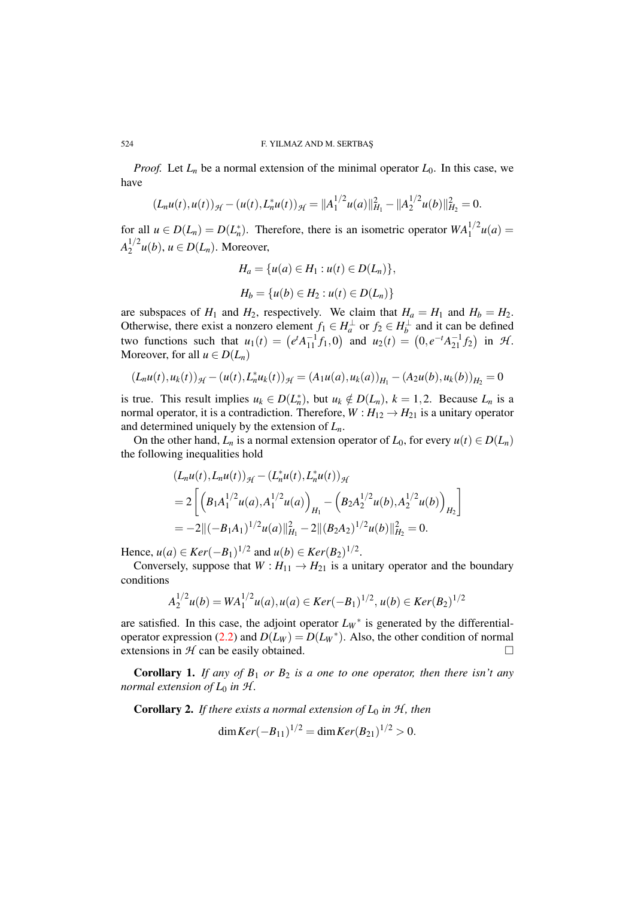#### 524 F. YILMAZ AND M. SERTBAS¸

*Proof.* Let  $L_n$  be a normal extension of the minimal operator  $L_0$ . In this case, we have

$$
(L_nu(t),u(t))_{\mathcal{H}}-(u(t),L_n^*u(t))_{\mathcal{H}}=\|A_1^{1/2}u(a)\|_{H_1}^2-\|A_2^{1/2}u(b)\|_{H_2}^2=0.
$$

for all  $u \in D(L_n) = D(L_n^*)$ . Therefore, there is an isometric operator  $WA_1^{1/2}u(a) =$  $A_2^{1/2}$  $u^{1/2}u(b)$ ,  $u \in D(L_n)$ . Moreover,

$$
H_a = \{u(a) \in H_1 : u(t) \in D(L_n)\},\
$$
  

$$
H_b = \{u(b) \in H_2 : u(t) \in D(L_n)\}
$$

are subspaces of  $H_1$  and  $H_2$ , respectively. We claim that  $H_a = H_1$  and  $H_b = H_2$ . Otherwise, there exist a nonzero element  $f_1 \in H_a^{\perp}$  or  $f_2 \in H_b^{\perp}$  and it can be defined two functions such that  $u_1(t) = (e^t A_{11}^{-1} f_1, 0)$  and  $u_2(t) = (0, e^{-t} A_{21}^{-1} f_2)$  in  $H$ . Moreover, for all  $u \in D(L_n)$ 

$$
(L_nu(t),u_k(t))_{\mathcal{H}} - (u(t),L_n^*u_k(t))_{\mathcal{H}} = (A_1u(a),u_k(a))_{H_1} - (A_2u(b),u_k(b))_{H_2} = 0
$$

is true. This result implies  $u_k \in D(L_n^*)$ , but  $u_k \notin D(L_n)$ ,  $k = 1, 2$ . Because  $L_n$  is a normal operator, it is a contradiction. Therefore,  $W: H_{12} \rightarrow H_{21}$  is a unitary operator and determined uniquely by the extension of *Ln*.

On the other hand,  $L_n$  is a normal extension operator of  $L_0$ , for every  $u(t) \in D(L_n)$ the following inequalities hold

$$
(L_nu(t), L_nu(t))_{\mathcal{H}} - (L_n^*u(t), L_n^*u(t))_{\mathcal{H}}
$$
  
=  $2\left[\left(B_1A_1^{1/2}u(a), A_1^{1/2}u(a)\right)_{H_1} - \left(B_2A_2^{1/2}u(b), A_2^{1/2}u(b)\right)_{H_2}\right]$   
=  $-2\|(-B_1A_1)^{1/2}u(a)\|_{H_1}^2 - 2\|(B_2A_2)^{1/2}u(b)\|_{H_2}^2 = 0.$ 

Hence,  $u(a) \in Ker(-B_1)^{1/2}$  and  $u(b) \in Ker(B_2)^{1/2}$ .

Conversely, suppose that  $W: H_{11} \rightarrow H_{21}$  is a unitary operator and the boundary conditions

$$
A_2^{1/2}u(b) = WA_1^{1/2}u(a), u(a) \in Ker(-B_1)^{1/2}, u(b) \in Ker(B_2)^{1/2}
$$

are satisfied. In this case, the adjoint operator  $L_W^*$  is generated by the differential-operator expression [\(2.2\)](#page-1-1) and  $D(L_W) = D(L_W^*)$ . Also, the other condition of normal extensions in  $H$  can be easily obtained.

Corollary 1. *If any of B*<sup>1</sup> *or B*<sup>2</sup> *is a one to one operator, then there isn't any normal extension of*  $L_0$  *in*  $H$ *.* 

**Corollary 2.** *If there exists a normal extension of*  $L_0$  *in*  $H$ *, then* 

$$
\dim Ker(-B_{11})^{1/2} = \dim Ker(B_{21})^{1/2} > 0.
$$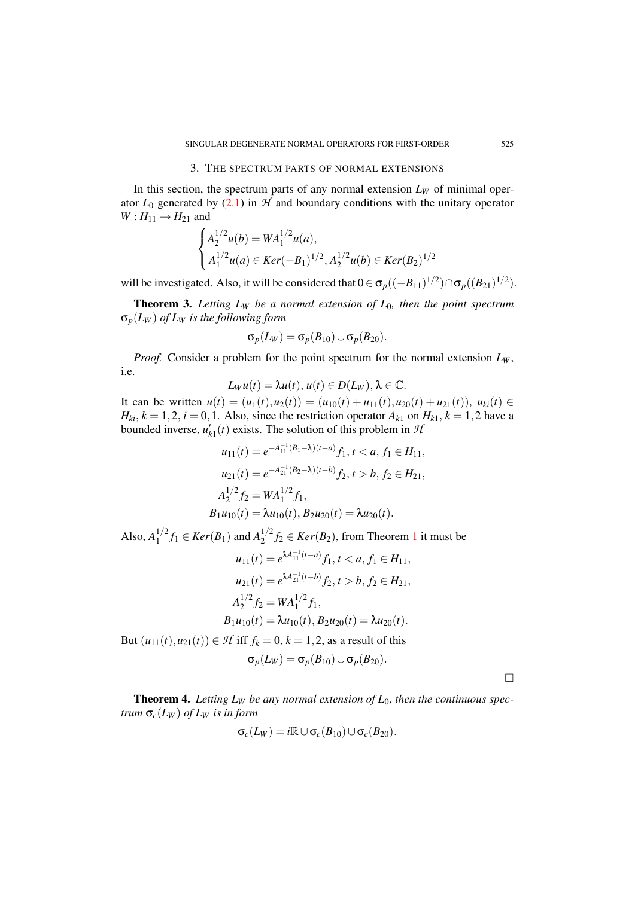## 3. THE SPECTRUM PARTS OF NORMAL EXTENSIONS

In this section, the spectrum parts of any normal extension  $L_W$  of minimal operator  $L_0$  generated by [\(2.1\)](#page-1-0) in  $H$  and boundary conditions with the unitary operator  $W: H_{11} \rightarrow H_{21}$  and

$$
\begin{cases} A_2^{1/2}u(b) = WA_1^{1/2}u(a), \\ A_1^{1/2}u(a) \in Ker(-B_1)^{1/2}, A_2^{1/2}u(b) \in Ker(B_2)^{1/2} \end{cases}
$$

will be investigated. Also, it will be considered that  $0 \in \sigma_p((-B_{11})^{1/2}) \cap \sigma_p((B_{21})^{1/2})$ .

Theorem 3. *Letting L<sup>W</sup> be a normal extension of L*0*, then the point spectrum* σ*p*(*L<sup>W</sup>* ) *of L<sup>W</sup> is the following form*

$$
\sigma_p(L_W) = \sigma_p(B_{10}) \cup \sigma_p(B_{20}).
$$

*Proof.* Consider a problem for the point spectrum for the normal extension  $L_W$ , i.e.

$$
L_W u(t) = \lambda u(t), u(t) \in D(L_W), \lambda \in \mathbb{C}.
$$

It can be written  $u(t) = (u_1(t), u_2(t)) = (u_{10}(t) + u_{11}(t), u_{20}(t) + u_{21}(t)), u_{ki}(t) \in$  $H_{ki}$ ,  $k = 1, 2$ ,  $i = 0, 1$ . Also, since the restriction operator  $A_{k1}$  on  $H_{k1}$ ,  $k = 1, 2$  have a bounded inverse,  $u'_{k1}(t)$  exists. The solution of this problem in  $\mathcal{H}$ 

$$
u_{11}(t) = e^{-A_{11}^{-1}(B_1 - \lambda)(t-a)} f_1, t < a, f_1 \in H_{11},
$$
  
\n
$$
u_{21}(t) = e^{-A_{21}^{-1}(B_2 - \lambda)(t-b)} f_2, t > b, f_2 \in H_{21},
$$
  
\n
$$
A_2^{1/2} f_2 = WA_1^{1/2} f_1,
$$
  
\n
$$
B_1 u_{10}(t) = \lambda u_{10}(t), B_2 u_{20}(t) = \lambda u_{20}(t).
$$

Also,  $A_1^{1/2}$  $f_1^{1/2} f_1 \in Ker(B_1)$  and  $A_2^{1/2}$  $f_2^{1/2} f_2 \in \text{Ker}(B_2)$  $f_2^{1/2} f_2 \in \text{Ker}(B_2)$  $f_2^{1/2} f_2 \in \text{Ker}(B_2)$ , from Theorem 1 it must be

$$
u_{11}(t) = e^{\lambda A_{11}^{-1}(t-a)} f_1, t < a, f_1 \in H_{11},
$$
  
\n
$$
u_{21}(t) = e^{\lambda A_{21}^{-1}(t-b)} f_2, t > b, f_2 \in H_{21},
$$
  
\n
$$
A_2^{1/2} f_2 = WA_1^{1/2} f_1,
$$
  
\n
$$
B_1 u_{10}(t) = \lambda u_{10}(t), B_2 u_{20}(t) = \lambda u_{20}(t).
$$
  
\nBut  $(u_{11}(t), u_{21}(t)) \in \mathcal{H}$  iff  $f_k = 0, k = 1, 2$ , as a result of this  
\n
$$
\sigma_p(L_W) = \sigma_p(B_{10}) \cup \sigma_p(B_{20}).
$$

 $\Box$ 

**Theorem 4.** Letting  $L_W$  be any normal extension of  $L_0$ , then the continuous spec*trum*  $\sigma_c(L_W)$  *of L<sub>W</sub> is in form* 

$$
\sigma_c(L_W) = i \mathbb{R} \cup \sigma_c(B_{10}) \cup \sigma_c(B_{20}).
$$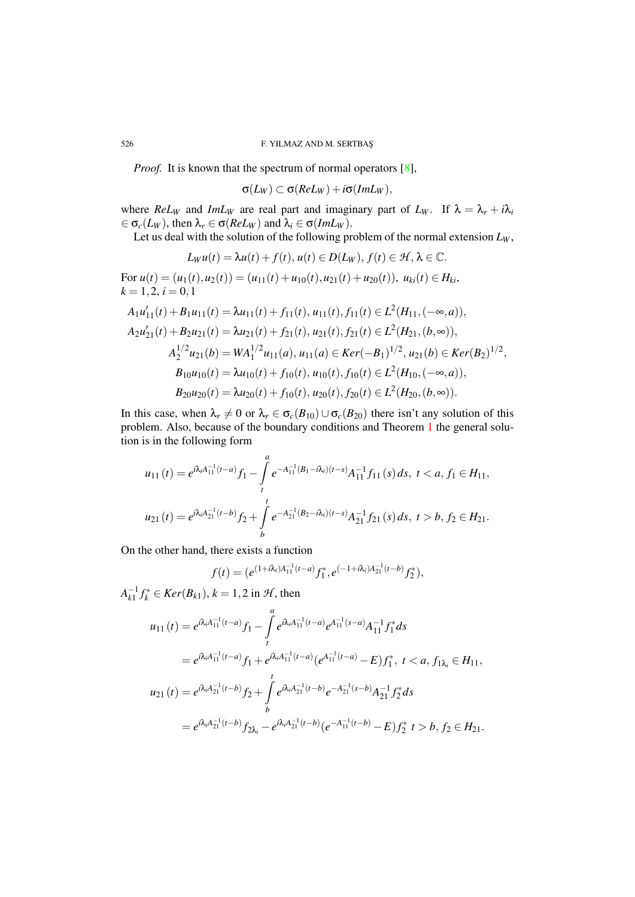*Proof.* It is known that the spectrum of normal operators [\[8\]](#page-6-13),

 $\sigma(L_W) \subset \sigma(ReL_W) + i\sigma(ImL_W),$ 

where *ReL<sub>W</sub>* and *ImL<sub>W</sub>* are real part and imaginary part of  $L_W$ . If  $\lambda = \lambda_r + i\lambda_i$  $\epsilon \in \sigma_c(L_W)$ , then  $\lambda_r \in \sigma(ReLU_W)$  and  $\lambda_i \in \sigma(ImL_W)$ .

Let us deal with the solution of the following problem of the normal extension  $L_W$ ,

$$
L_W u(t) = \lambda u(t) + f(t), u(t) \in D(L_W), f(t) \in \mathcal{H}, \lambda \in \mathbb{C}.
$$

For  $u(t) = (u_1(t), u_2(t)) = (u_{11}(t) + u_{10}(t), u_{21}(t) + u_{20}(t)), u_{ki}(t) \in H_{ki}$  $k = 1, 2, i = 0, 1$ 

$$
A_1u'_{11}(t) + B_1u_{11}(t) = \lambda u_{11}(t) + f_{11}(t), u_{11}(t), f_{11}(t) \in L^2(H_{11}, (-\infty, a)),
$$
  
\n
$$
A_2u'_{21}(t) + B_2u_{21}(t) = \lambda u_{21}(t) + f_{21}(t), u_{21}(t), f_{21}(t) \in L^2(H_{21}, (b, \infty)),
$$
  
\n
$$
A_2^{1/2}u_{21}(b) = WA_1^{1/2}u_{11}(a), u_{11}(a) \in Ker(-B_1)^{1/2}, u_{21}(b) \in Ker(B_2)^{1/2},
$$
  
\n
$$
B_{10}u_{10}(t) = \lambda u_{10}(t) + f_{10}(t), u_{10}(t), f_{10}(t) \in L^2(H_{10}, (-\infty, a)),
$$
  
\n
$$
B_{20}u_{20}(t) = \lambda u_{20}(t) + f_{10}(t), u_{20}(t), f_{20}(t) \in L^2(H_{20}, (b, \infty)).
$$

In this case, when  $\lambda_r \neq 0$  or  $\lambda_r \in \sigma_c(B_{10}) \cup \sigma_c(B_{20})$  there isn't any solution of this problem. Also, because of the boundary conditions and Theorem [1](#page-2-0) the general solution is in the following form

$$
u_{11}(t) = e^{i\lambda_i A_{11}^{-1}(t-a)} f_1 - \int_t^a e^{-A_{11}^{-1}(B_1 - i\lambda_i)(t-s)} A_{11}^{-1} f_{11}(s) ds, \ t < a, f_1 \in H_{11},
$$
  

$$
u_{21}(t) = e^{i\lambda_i A_{21}^{-1}(t-b)} f_2 + \int_b^t e^{-A_{21}^{-1}(B_2 - i\lambda_i)(t-s)} A_{21}^{-1} f_{21}(s) ds, \ t > b, f_2 \in H_{21}.
$$

On the other hand, there exists a function

$$
f(t) = (e^{(1+i\lambda_i)A_{11}^{-1}(t-a)}f_1^*, e^{(-1+i\lambda_i)A_{21}^{-1}(t-b)}f_2^*),
$$

 $A_{k1}^{-1} f_k^* \in \text{Ker}(B_{k1}), k = 1, 2$  in  $H$ , then

$$
u_{11}(t) = e^{i\lambda_i A_{11}^{-1}(t-a)} f_1 - \int_t^a e^{i\lambda_i A_{11}^{-1}(t-a)} e^{A_{11}^{-1}(s-a)} A_{11}^{-1} f_1^* ds
$$
  
\n
$$
= e^{i\lambda_i A_{11}^{-1}(t-a)} f_1 + e^{i\lambda_i A_{11}^{-1}(t-a)} (e^{A_{11}^{-1}(t-a)} - E) f_1^*, \ t < a, f_{1\lambda_i} \in H_{11},
$$
  
\n
$$
u_{21}(t) = e^{i\lambda_i A_{21}^{-1}(t-b)} f_2 + \int_t^t e^{i\lambda_i A_{21}^{-1}(t-b)} e^{-A_{21}^{-1}(s-b)} A_{21}^{-1} f_2^* ds
$$
  
\n
$$
= e^{i\lambda_i A_{21}^{-1}(t-b)} f_{2\lambda_i} - e^{i\lambda_i A_{21}^{-1}(t-b)} (e^{-A_{11}^{-1}(t-b)} - E) f_2^* t > b, f_2 \in H_{21}.
$$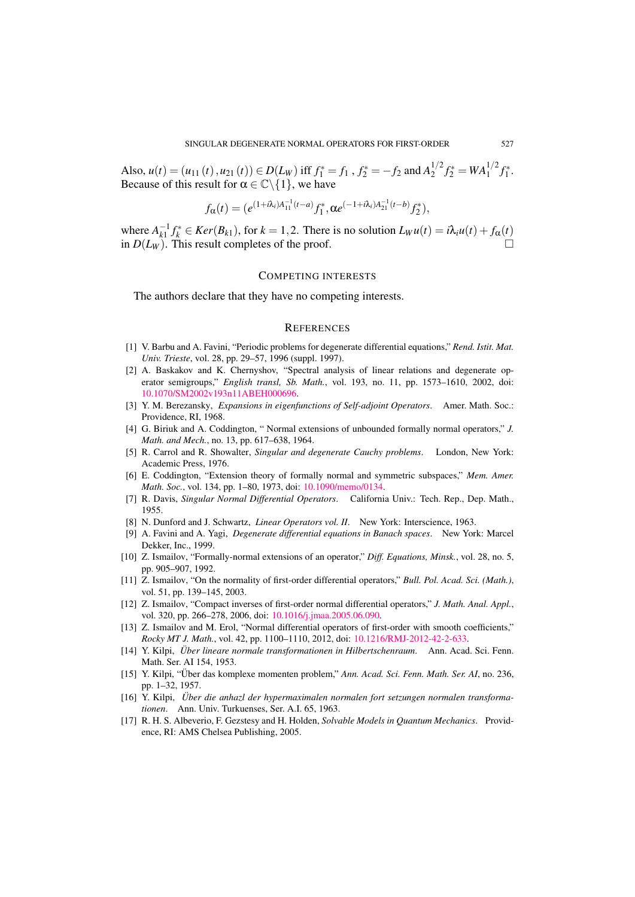Also,  $u(t) = (u_{11}(t), u_{21}(t)) \in D(L_W)$  iff  $f_1^* = f_1$ ,  $f_2^* = -f_2$  and  $A_2^{1/2}$  $f_2^{1/2} f_2^* = WA_1^{1/2} f_1^*.$ Because of this result for  $\alpha \in \mathbb{C} \backslash \{1\}$ , we have

$$
f_{\alpha}(t) = (e^{(1+i\lambda_i)A_{11}^{-1}(t-a)}f_1^*, \alpha e^{(-1+i\lambda_i)A_{21}^{-1}(t-b)}f_2^*),
$$

where  $A_{k1}^{-1} f_k^* \in \text{Ker}(B_{k1})$ , for  $k = 1, 2$ . There is no solution  $L_W u(t) = i\lambda_i u(t) + f_\alpha(t)$ in  $D(L_W)$ . This result completes of the proof.

## COMPETING INTERESTS

The authors declare that they have no competing interests.

## **REFERENCES**

- <span id="page-6-8"></span>[1] V. Barbu and A. Favini, "Periodic problems for degenerate differential equations," *Rend. Istit. Mat. Univ. Trieste*, vol. 28, pp. 29–57, 1996 (suppl. 1997).
- <span id="page-6-9"></span>[2] A. Baskakov and K. Chernyshov, "Spectral analysis of linear relations and degenerate operator semigroups," *English transl, Sb. Math.*, vol. 193, no. 11, pp. 1573–1610, 2002, doi: [10.1070/SM2002v193n11ABEH000696.](http://dx.doi.org/10.1070/SM2002v193n11ABEH000696)
- <span id="page-6-12"></span>[3] Y. M. Berezansky, *Expansions in eigenfunctions of Self-adjoint Operators*. Amer. Math. Soc.: Providence, RI, 1968.
- <span id="page-6-3"></span>[4] G. Biriuk and A. Coddington, " Normal extensions of unbounded formally normal operators," *J. Math. and Mech.*, no. 13, pp. 617–638, 1964.
- <span id="page-6-11"></span>[5] R. Carrol and R. Showalter, *Singular and degenerate Cauchy problems*. London, New York: Academic Press, 1976.
- <span id="page-6-4"></span>[6] E. Coddington, "Extension theory of formally normal and symmetric subspaces," *Mem. Amer. Math. Soc.*, vol. 134, pp. 1–80, 1973, doi: [10.1090/memo/0134.](http://dx.doi.org/10.1090/memo/0134)
- <span id="page-6-2"></span>[7] R. Davis, *Singular Normal Differential Operators*. California Univ.: Tech. Rep., Dep. Math., 1955.
- <span id="page-6-13"></span>[8] N. Dunford and J. Schwartz, *Linear Operators vol. II*. New York: Interscience, 1963.
- <span id="page-6-10"></span>[9] A. Favini and A. Yagi, *Degenerate differential equations in Banach spaces*. New York: Marcel Dekker, Inc., 1999.
- <span id="page-6-5"></span>[10] Z. Ismailov, "Formally-normal extensions of an operator," *Diff. Equations, Minsk.*, vol. 28, no. 5, pp. 905–907, 1992.
- [11] Z. Ismailov, "On the normality of first-order differential operators," *Bull. Pol. Acad. Sci. (Math.)*, vol. 51, pp. 139–145, 2003.
- [12] Z. Ismailov, "Compact inverses of first-order normal differential operators," *J. Math. Anal. Appl.*, vol. 320, pp. 266–278, 2006, doi: [10.1016/j.jmaa.2005.06.090.](http://dx.doi.org/10.1016/j.jmaa.2005.06.090)
- <span id="page-6-6"></span>[13] Z. Ismailov and M. Erol, "Normal differential operators of first-order with smooth coefficients," *Rocky MT J. Math.*, vol. 42, pp. 1100–1110, 2012, doi: [10.1216/RMJ-2012-42-2-633.](http://dx.doi.org/10.1216/RMJ-2012-42-2-633)
- <span id="page-6-0"></span>[14] Y. Kilpi, *Uber lineare normale transformationen in Hilbertschenraum ¨* . Ann. Acad. Sci. Fenn. Math. Ser. AI 154, 1953.
- [15] Y. Kilpi, "Über das komplexe momenten problem," Ann. Acad. Sci. Fenn. Math. Ser. AI, no. 236, pp. 1–32, 1957.
- <span id="page-6-1"></span>[16] Y. Kilpi, *Uber die anhazl der hypermaximalen normalen fort setzungen normalen transforma- ¨ tionen*. Ann. Univ. Turkuenses, Ser. A.I. 65, 1963.
- <span id="page-6-7"></span>[17] R. H. S. Albeverio, F. Gezstesy and H. Holden, *Solvable Models in Quantum Mechanics*. Providence, RI: AMS Chelsea Publishing, 2005.